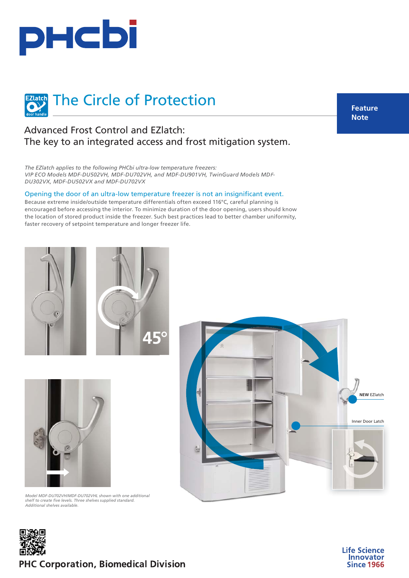



## Advanced Frost Control and EZlatch: The key to an integrated access and frost mitigation system.

*The EZlatch applies to the following PHCbi ultra-low temperature freezers: VIP ECO Models [MDF-DU502VH, MDF-DU702VH, and MDF-DU901VH,](https://www.phchd.com/global/biomedical/preservation/ultra-low-freezers/VIP-ECO-ULT-freezers) [TwinGuard Models MD](https://www.phchd.com/global/biomedical/preservation/ultra-low-freezers/TwinGuard-ULT-freezers)*F*-[DU302VX, MDF-DU502VX and MDF-DU702VX](https://www.phchd.com/global/biomedical/preservation/ultra-low-freezers/TwinGuard-ULT-freezers)*

Opening the door of an ultra-low temperature freezer is not an insignificant event.

Because extreme inside/outside temperature differentials often exceed 116°C, careful planning is encouraged before accessing the interior. To minimize duration of the door opening, users should know the location of stored product inside the freezer. Such best practices lead to better chamber uniformity, faster recovery of setpoint temperature and longer freezer life.











**PHC Corporation, Biomedical Division** 

**Feature Note**